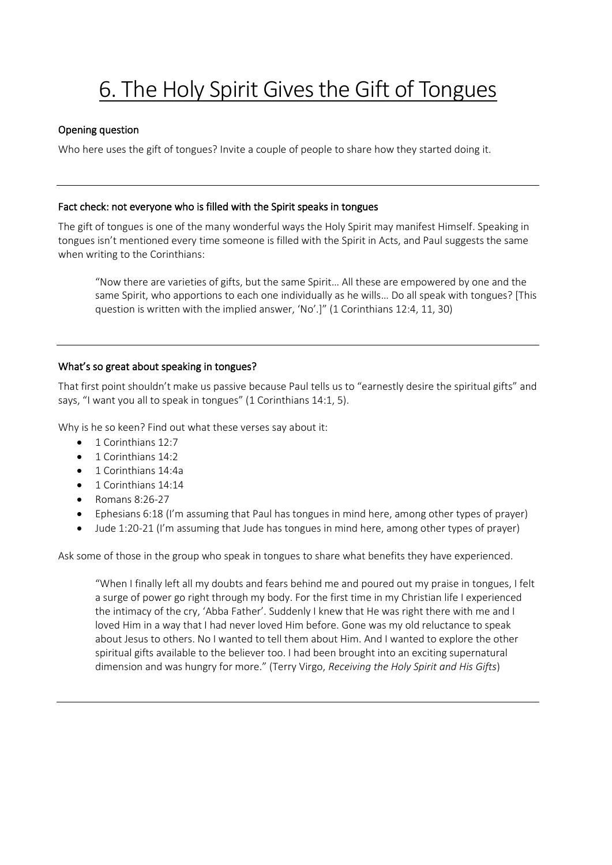# 6. The Holy Spirit Gives the Gift of Tongues

## Opening question

Who here uses the gift of tongues? Invite a couple of people to share how they started doing it.

## Fact check: not everyone who is filled with the Spirit speaks in tongues

The gift of tongues is one of the many wonderful ways the Holy Spirit may manifest Himself. Speaking in tongues isn't mentioned every time someone is filled with the Spirit in Acts, and Paul suggests the same when writing to the Corinthians:

"Now there are varieties of gifts, but the same Spirit… All these are empowered by one and the same Spirit, who apportions to each one individually as he wills… Do all speak with tongues? [This question is written with the implied answer, 'No'.]" (1 Corinthians 12:4, 11, 30)

## What's so great about speaking in tongues?

That first point shouldn't make us passive because Paul tells us to "earnestly desire the spiritual gifts" and says, "I want you all to speak in tongues" (1 Corinthians 14:1, 5).

Why is he so keen? Find out what these verses say about it:

- 1 Corinthians 12:7
- 1 Corinthians 14:2
- 1 Corinthians 14:4a
- 1 Corinthians 14:14
- $\bullet$  Romans 8:26-27
- Ephesians 6:18 (I'm assuming that Paul has tongues in mind here, among other types of prayer)
- Jude 1:20-21 (I'm assuming that Jude has tongues in mind here, among other types of prayer)

Ask some of those in the group who speak in tongues to share what benefits they have experienced.

"When I finally left all my doubts and fears behind me and poured out my praise in tongues, I felt a surge of power go right through my body. For the first time in my Christian life I experienced the intimacy of the cry, 'Abba Father'. Suddenly I knew that He was right there with me and I loved Him in a way that I had never loved Him before. Gone was my old reluctance to speak about Jesus to others. No I wanted to tell them about Him. And I wanted to explore the other spiritual gifts available to the believer too. I had been brought into an exciting supernatural dimension and was hungry for more." (Terry Virgo, *Receiving the Holy Spirit and His Gifts*)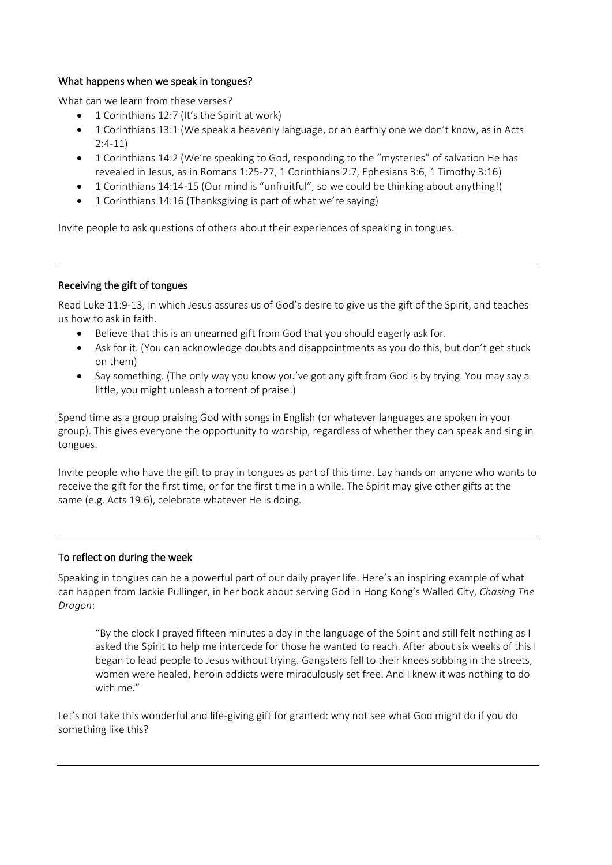## What happens when we speak in tongues?

What can we learn from these verses?

- 1 Corinthians 12:7 (It's the Spirit at work)
- 1 Corinthians 13:1 (We speak a heavenly language, or an earthly one we don't know, as in Acts 2:4-11)
- 1 Corinthians 14:2 (We're speaking to God, responding to the "mysteries" of salvation He has revealed in Jesus, as in Romans 1:25-27, 1 Corinthians 2:7, Ephesians 3:6, 1 Timothy 3:16)
- 1 Corinthians 14:14-15 (Our mind is "unfruitful", so we could be thinking about anything!)
- 1 Corinthians 14:16 (Thanksgiving is part of what we're saying)

Invite people to ask questions of others about their experiences of speaking in tongues.

#### Receiving the gift of tongues

Read Luke 11:9-13, in which Jesus assures us of God's desire to give us the gift of the Spirit, and teaches us how to ask in faith.

- Believe that this is an unearned gift from God that you should eagerly ask for.
- Ask for it. (You can acknowledge doubts and disappointments as you do this, but don't get stuck on them)
- Say something. (The only way you know you've got any gift from God is by trying. You may say a little, you might unleash a torrent of praise.)

Spend time as a group praising God with songs in English (or whatever languages are spoken in your group). This gives everyone the opportunity to worship, regardless of whether they can speak and sing in tongues.

Invite people who have the gift to pray in tongues as part of this time. Lay hands on anyone who wants to receive the gift for the first time, or for the first time in a while. The Spirit may give other gifts at the same (e.g. Acts 19:6), celebrate whatever He is doing.

#### To reflect on during the week

Speaking in tongues can be a powerful part of our daily prayer life. Here's an inspiring example of what can happen from Jackie Pullinger, in her book about serving God in Hong Kong's Walled City, *Chasing The Dragon*:

"By the clock I prayed fifteen minutes a day in the language of the Spirit and still felt nothing as I asked the Spirit to help me intercede for those he wanted to reach. After about six weeks of this I began to lead people to Jesus without trying. Gangsters fell to their knees sobbing in the streets, women were healed, heroin addicts were miraculously set free. And I knew it was nothing to do with me."

Let's not take this wonderful and life-giving gift for granted: why not see what God might do if you do something like this?